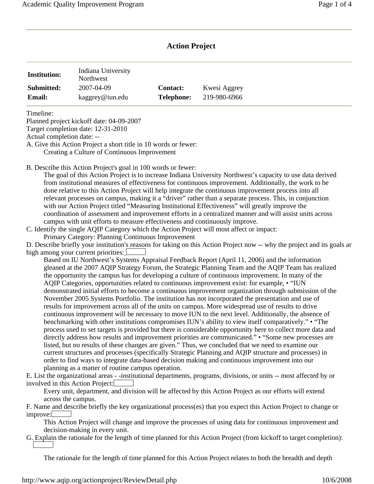# **Action Project**

| <b>Institution:</b> | Indiana University<br>Northwest |                   |              |  |
|---------------------|---------------------------------|-------------------|--------------|--|
| Submitted:          | 2007-04-09                      | <b>Contact:</b>   | Kwesi Aggrey |  |
| <b>Email:</b>       | kaggrey@iun.edu                 | <b>Telephone:</b> | 219-980-6966 |  |

Timeline:

Planned project kickoff date: 04-09-2007

Target completion date: 12-31-2010

Actual completion date: --

A. Give this Action Project a short title in 10 words or fewer: Creating a Culture of Continuous Improvement

B. Describe this Action Project's goal in 100 words or fewer:

The goal of this Action Project is to increase Indiana University Northwest's capacity to use data derived from institutional measures of effectiveness for continuous improvement. Additionally, the work to be done relative to this Action Project will help integrate the continuous improvement process into all relevant processes on campus, making it a "driver" rather than a separate process. This, in conjunction with our Action Project titled "Measuring Institutional Effectiveness" will greatly improve the coordination of assessment and improvement efforts in a centralized manner and will assist units across campus with unit efforts to measure effectiveness and continuously improve.

C. Identify the single AQIP Category which the Action Project will most affect or impact: Primary Category: Planning Continuous Improvement

D. Describe briefly your institution's reasons for taking on this Action Project now -- why the project and its goals ar high among your current priorities:  $\Box$ 

Based on IU Northwest's Systems Appraisal Feedback Report (April 11, 2006) and the information gleaned at the 2007 AQIP Strategy Forum, the Strategic Planning Team and the AQIP Team has realized the opportunity the campus has for developing a culture of continuous improvement. In many of the AQIP Categories, opportunities related to continuous improvement exist: for example, • "IUN demonstrated initial efforts to become a continuous improvement organization through submission of the November 2005 Systems Portfolio. The institution has not incorporated the presentation and use of results for improvement across all of the units on campus. More widespread use of results to drive continuous improvement will be necessary to move IUN to the next level. Additionally, the absence of benchmarking with other institutions compromises IUN's ability to view itself comparatively." • "The process used to set targets is provided but there is considerable opportunity here to collect more data and directly address how results and improvement priorities are communicated." • "Some new processes are listed, but no results of these changes are given." Thus, we concluded that we need to examine our current structures and processes (specifically Strategic Planning and AQIP structure and processes) in order to find ways to integrate data-based decision making and continuous improvement into our planning as a matter of routine campus operation.

E. List the organizational areas - -institutional departments, programs, divisions, or units -- most affected by or involved in this Action Project:

Every unit, department, and division will be affected by this Action Project as our efforts will extend across the campus.

F. Name and describe briefly the key organizational process(es) that you expect this Action Project to change or improve:

This Action Project will change and improve the processes of using data for continuous improvement and decision-making in every unit.

G. Explain the rationale for the length of time planned for this Action Project (from kickoff to target completion):

The rationale for the length of time planned for this Action Project relates to both the breadth and depth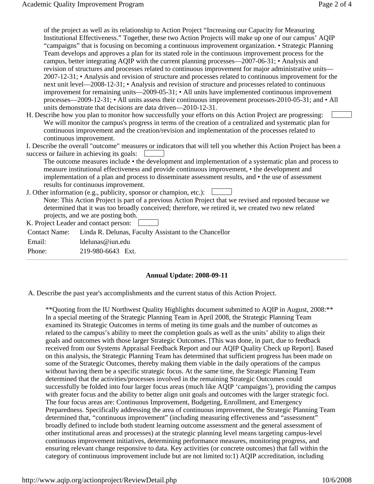of the project as well as its relationship to Action Project "Increasing our Capacity for Measuring Institutional Effectiveness." Together, these two Action Projects will make up one of our campus' AQIP "campaigns" that is focusing on becoming a continuous improvement organization. • Strategic Planning Team develops and approves a plan for its stated role in the continuous improvement process for the campus, better integrating AQIP with the current planning processes—2007-06-31; • Analysis and revision of structures and processes related to continuous improvement for major administrative units— 2007-12-31; • Analysis and revision of structure and processes related to continuous improvement for the next unit level—2008-12-31; • Analysis and revision of structure and processes related to continuous improvement for remaining units—2009-05-31; • All units have implemented continuous improvement processes—2009-12-31; • All units assess their continuous improvement processes-2010-05-31; and • All units demonstrate that decisions are data driven—2010-12-31.

H. Describe how you plan to monitor how successfully your efforts on this Action Project are progressing: We will monitor the campus's progress in terms of the creation of a centralized and systematic plan for continuous improvement and the creation/revision and implementation of the processes related to continuous improvement.

 success or failure in achieving its goals: I. Describe the overall "outcome" measures or indicators that will tell you whether this Action Project has been a

The outcome measures include • the development and implementation of a systematic plan and process to measure institutional effectiveness and provide continuous improvement, • the development and implementation of a plan and process to disseminate assessment results, and • the use of assessment results for continuous improvement.

 J. Other information (e.g., publicity, sponsor or champion, etc.): Note: This Action Project is part of a previous Action Project that we revised and reposted because we determined that it was too broadly conceived; therefore, we retired it, we created two new related projects, and we are posting both.

K. Project Leader and contact person:

Contact Name: Linda R. Delunas, Faculty Assistant to the Chancellor

Email: ldelunas@iun.edu

Phone: 219-980-6643 Ext.

## **Annual Update: 2008-09-11**

A. Describe the past year's accomplishments and the current status of this Action Project.

\*\*Quoting from the IU Northwest Quality Highlights document submitted to AQIP in August, 2008:\*\* In a special meeting of the Strategic Planning Team in April 2008, the Strategic Planning Team examined its Strategic Outcomes in terms of meting its time goals and the number of outcomes as related to the campus's ability to meet the completion goals as well as the units' ability to align their goals and outcomes with those larger Strategic Outcomes. [This was done, in part, due to feedback received from our Systems Appraisal Feedback Report and our AQIP Quality Check up Report]. Based on this analysis, the Strategic Planning Team has determined that sufficient progress has been made on some of the Strategic Outcomes, thereby making them viable in the daily operations of the campus without having them be a specific strategic focus. At the same time, the Strategic Planning Team determined that the activities/processes involved in the remaining Strategic Outcomes could successfully be folded into four larger focus areas (much like AQIP 'campaigns'), providing the campus with greater focus and the ability to better align unit goals and outcomes with the larger strategic foci. The four focus areas are: Continuous Improvement, Budgeting, Enrollment, and Emergency Preparedness. Specifically addressing the area of continuous improvement, the Strategic Planning Team determined that, "continuous improvement" (including measuring effectiveness and "assessment" broadly defined to include both student learning outcome assessment and the general assessment of other institutional areas and processes) at the strategic planning level means targeting campus-level continuous improvement initiatives, determining performance measures, monitoring progress, and ensuring relevant change responsive to data. Key activities (or concrete outcomes) that fall within the category of continuous improvement include but are not limited to:1) AQIP accreditation, including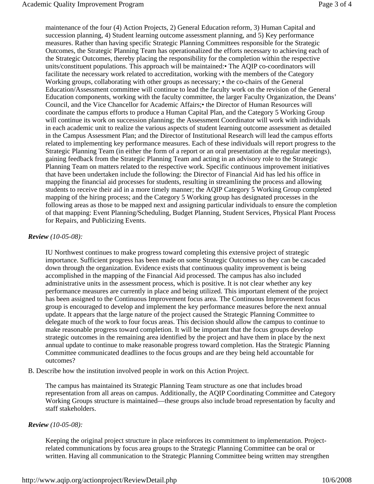maintenance of the four (4) Action Projects, 2) General Education reform, 3) Human Capital and succession planning, 4) Student learning outcome assessment planning, and 5) Key performance measures. Rather than having specific Strategic Planning Committees responsible for the Strategic Outcomes, the Strategic Planning Team has operationalized the efforts necessary to achieving each of the Strategic Outcomes, thereby placing the responsibility for the completion within the respective units/constituent populations. This approach will be maintained:• The AQIP co-coordinators will facilitate the necessary work related to accreditation, working with the members of the Category Working groups, collaborating with other groups as necessary;  $\cdot$  the co-chairs of the General Education/Assessment committee will continue to lead the faculty work on the revision of the General Education components, working with the faculty committee, the larger Faculty Organization, the Deans' Council, and the Vice Chancellor for Academic Affairs;• the Director of Human Resources will coordinate the campus efforts to produce a Human Capital Plan, and the Category 5 Working Group will continue its work on succession planning; the Assessment Coordinator will work with individuals in each academic unit to realize the various aspects of student learning outcome assessment as detailed in the Campus Assessment Plan; and the Director of Institutional Research will lead the campus efforts related to implementing key performance measures. Each of these individuals will report progress to the Strategic Planning Team (in either the form of a report or an oral presentation at the regular meetings), gaining feedback from the Strategic Planning Team and acting in an advisory role to the Strategic Planning Team on matters related to the respective work. Specific continuous improvement initiatives that have been undertaken include the following: the Director of Financial Aid has led his office in mapping the financial aid processes for students, resulting in streamlining the process and allowing students to receive their aid in a more timely manner; the AQIP Category 5 Working Group completed mapping of the hiring process; and the Category 5 Working group has designated processes in the following areas as those to be mapped next and assigning particular individuals to ensure the completion of that mapping: Event Planning/Scheduling, Budget Planning, Student Services, Physical Plant Process for Repairs, and Publicizing Events.

#### *Review (10-05-08):*

IU Northwest continues to make progress toward completing this extensive project of strategic importance. Sufficient progress has been made on some Strategic Outcomes so they can be cascaded down through the organization. Evidence exists that continuous quality improvement is being accomplished in the mapping of the Financial Aid processed. The campus has also included administrative units in the assessment process, which is positive. It is not clear whether any key performance measures are currently in place and being utilized. This important element of the project has been assigned to the Continuous Improvement focus area. The Continuous Improvement focus group is encouraged to develop and implement the key performance measures before the next annual update. It appears that the large nature of the project caused the Strategic Planning Committee to delegate much of the work to four focus areas. This decision should allow the campus to continue to make reasonable progress toward completion. It will be important that the focus groups develop strategic outcomes in the remaining area identified by the project and have them in place by the next annual update to continue to make reasonable progress toward completion. Has the Strategic Planning Committee communicated deadlines to the focus groups and are they being held accountable for outcomes?

B. Describe how the institution involved people in work on this Action Project.

The campus has maintained its Strategic Planning Team structure as one that includes broad representation from all areas on campus. Additionally, the AQIP Coordinating Committee and Category Working Groups structure is maintained—these groups also include broad representation by faculty and staff stakeholders.

#### *Review (10-05-08):*

Keeping the original project structure in place reinforces its commitment to implementation. Projectrelated communications by focus area groups to the Strategic Planning Committee can be oral or written. Having all communication to the Strategic Planning Committee being written may strengthen